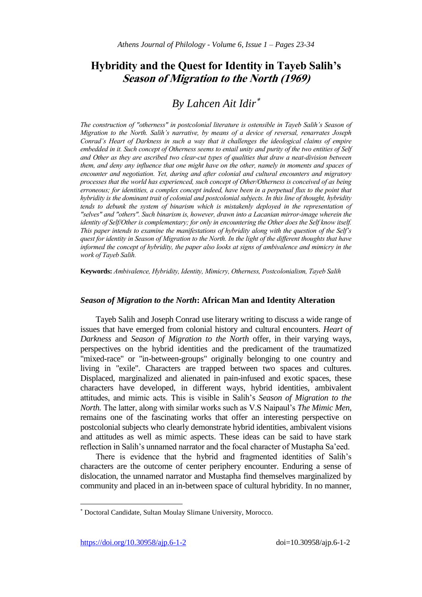# **Hybridity and the Quest for Identity in Tayeb Salih's Season of Migration to the North (1969)**

# *By Lahcen Ait Idir*

*The construction of "otherness" in postcolonial literature is ostensible in Tayeb Salih's Season of Migration to the North. Salih's narrative, by means of a device of reversal, renarrates Joseph Conrad's Heart of Darkness in such a way that it challenges the ideological claims of empire embedded in it. Such concept of Otherness seems to entail unity and purity of the two entities of Self and Other as they are ascribed two clear-cut types of qualities that draw a neat-division between them, and deny any influence that one might have on the other, namely in moments and spaces of encounter and negotiation. Yet, during and after colonial and cultural encounters and migratory processes that the world has experienced, such concept of Other/Otherness is conceived of as being erroneous; for identities, a complex concept indeed, have been in a perpetual flux to the point that hybridity is the dominant trait of colonial and postcolonial subjects. In this line of thought, hybridity tends to debunk the system of binarism which is mistakenly deployed in the representation of "selves" and "others". Such binarism is, however, drawn into a Lacanian mirror-image wherein the identity of Self/Other is complementary; for only in encountering the Other does the Self know itself. This paper intends to examine the manifestations of hybridity along with the question of the Self's quest for identity in Season of Migration to the North. In the light of the different thoughts that have informed the concept of hybridity, the paper also looks at signs of ambivalence and mimicry in the work of Tayeb Salih.* 

**Keywords:** *Ambivalence, Hybridity, Identity, Mimicry, Otherness, Postcolonialism, Tayeb Salih*

## *Season of Migration to the North***: African Man and Identity Alteration**

Tayeb Salih and Joseph Conrad use literary writing to discuss a wide range of issues that have emerged from colonial history and cultural encounters. *Heart of Darkness* and *Season of Migration to the North* offer, in their varying ways, perspectives on the hybrid identities and the predicament of the traumatized "mixed-race" or "in-between-groups" originally belonging to one country and living in "exile". Characters are trapped between two spaces and cultures. Displaced, marginalized and alienated in pain-infused and exotic spaces, these characters have developed, in different ways, hybrid identities, ambivalent attitudes, and mimic acts. This is visible in Salih's *Season of Migration to the North.* The latter, along with similar works such as V.S Naipaul's *The Mimic Men*, remains one of the fascinating works that offer an interesting perspective on postcolonial subjects who clearly demonstrate hybrid identities, ambivalent visions and attitudes as well as mimic aspects. These ideas can be said to have stark reflection in Salih's unnamed narrator and the focal character of Mustapha Sa'eed.

There is evidence that the hybrid and fragmented identities of Salih's characters are the outcome of center periphery encounter. Enduring a sense of dislocation, the unnamed narrator and Mustapha find themselves marginalized by community and placed in an in-between space of cultural hybridity. In no manner,

 $\overline{a}$ 

Doctoral Candidate, Sultan Moulay Slimane University, Morocco.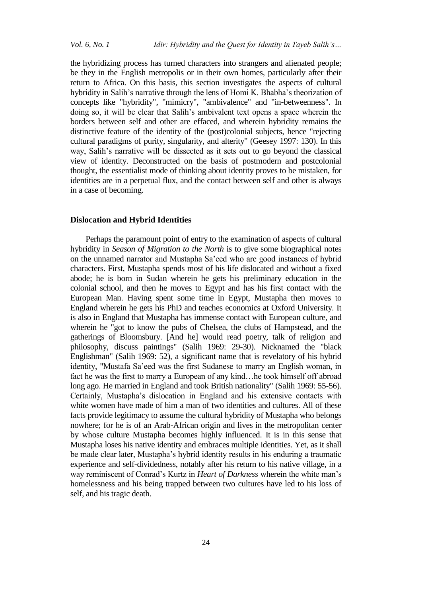the hybridizing process has turned characters into strangers and alienated people; be they in the English metropolis or in their own homes, particularly after their return to Africa. On this basis, this section investigates the aspects of cultural hybridity in Salih's narrative through the lens of Homi K. Bhabha's theorization of concepts like "hybridity", "mimicry", "ambivalence" and "in-betweenness". In doing so, it will be clear that Salih's ambivalent text opens a space wherein the borders between self and other are effaced, and wherein hybridity remains the distinctive feature of the identity of the (post)colonial subjects, hence "rejecting cultural paradigms of purity, singularity, and alterity" (Geesey 1997: 130). In this way, Salih's narrative will be dissected as it sets out to go beyond the classical view of identity. Deconstructed on the basis of postmodern and postcolonial thought, the essentialist mode of thinking about identity proves to be mistaken, for identities are in a perpetual flux, and the contact between self and other is always in a case of becoming.

#### **Dislocation and Hybrid Identities**

Perhaps the paramount point of entry to the examination of aspects of cultural hybridity in *Season of Migration to the North* is to give some biographical notes on the unnamed narrator and Mustapha Sa'eed who are good instances of hybrid characters. First, Mustapha spends most of his life dislocated and without a fixed abode; he is born in Sudan wherein he gets his preliminary education in the colonial school, and then he moves to Egypt and has his first contact with the European Man. Having spent some time in Egypt, Mustapha then moves to England wherein he gets his PhD and teaches economics at Oxford University. It is also in England that Mustapha has immense contact with European culture, and wherein he "got to know the pubs of Chelsea, the clubs of Hampstead, and the gatherings of Bloomsbury. [And he] would read poetry, talk of religion and philosophy, discuss paintings" (Salih 1969: 29-30). Nicknamed the "black Englishman" (Salih 1969: 52), a significant name that is revelatory of his hybrid identity, "Mustafa Sa'eed was the first Sudanese to marry an English woman, in fact he was the first to marry a European of any kind…he took himself off abroad long ago. He married in England and took British nationality" (Salih 1969: 55-56). Certainly, Mustapha's dislocation in England and his extensive contacts with white women have made of him a man of two identities and cultures. All of these facts provide legitimacy to assume the cultural hybridity of Mustapha who belongs nowhere; for he is of an Arab-African origin and lives in the metropolitan center by whose culture Mustapha becomes highly influenced. It is in this sense that Mustapha loses his native identity and embraces multiple identities. Yet, as it shall be made clear later, Mustapha's hybrid identity results in his enduring a traumatic experience and self-dividedness, notably after his return to his native village, in a way reminiscent of Conrad's Kurtz in *Heart of Darkness* wherein the white man's homelessness and his being trapped between two cultures have led to his loss of self, and his tragic death.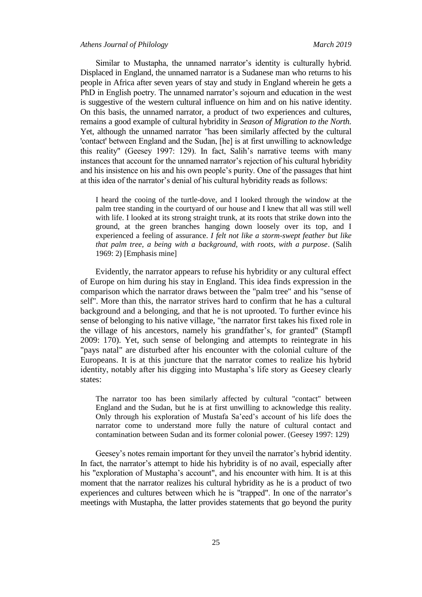Similar to Mustapha, the unnamed narrator's identity is culturally hybrid. Displaced in England, the unnamed narrator is a Sudanese man who returns to his people in Africa after seven years of stay and study in England wherein he gets a PhD in English poetry. The unnamed narrator's sojourn and education in the west is suggestive of the western cultural influence on him and on his native identity. On this basis, the unnamed narrator, a product of two experiences and cultures, remains a good example of cultural hybridity in *Season of Migration to the North.*  Yet, although the unnamed narrator "has been similarly affected by the cultural 'contact' between England and the Sudan, [he] is at first unwilling to acknowledge this reality" (Geesey 1997: 129). In fact, Salih's narrative teems with many instances that account for the unnamed narrator's rejection of his cultural hybridity and his insistence on his and his own people's purity. One of the passages that hint at this idea of the narrator's denial of his cultural hybridity reads as follows:

I heard the cooing of the turtle-dove, and I looked through the window at the palm tree standing in the courtyard of our house and I knew that all was still well with life. I looked at its strong straight trunk, at its roots that strike down into the ground, at the green branches hanging down loosely over its top, and I experienced a feeling of assurance. *I felt not like a storm-swept feather but like that palm tree, a being with a background, with roots, with a purpose*. (Salih 1969: 2) [Emphasis mine]

Evidently, the narrator appears to refuse his hybridity or any cultural effect of Europe on him during his stay in England. This idea finds expression in the comparison which the narrator draws between the "palm tree" and his "sense of self". More than this, the narrator strives hard to confirm that he has a cultural background and a belonging, and that he is not uprooted. To further evince his sense of belonging to his native village, "the narrator first takes his fixed role in the village of his ancestors, namely his grandfather's, for granted" (Stampfl 2009: 170). Yet, such sense of belonging and attempts to reintegrate in his "pays natal" are disturbed after his encounter with the colonial culture of the Europeans. It is at this juncture that the narrator comes to realize his hybrid identity, notably after his digging into Mustapha's life story as Geesey clearly states:

The narrator too has been similarly affected by cultural "contact" between England and the Sudan, but he is at first unwilling to acknowledge this reality. Only through his exploration of Mustafa Sa'eed's account of his life does the narrator come to understand more fully the nature of cultural contact and contamination between Sudan and its former colonial power. (Geesey 1997: 129)

Geesey's notes remain important for they unveil the narrator's hybrid identity. In fact, the narrator's attempt to hide his hybridity is of no avail, especially after his "exploration of Mustapha's account", and his encounter with him. It is at this moment that the narrator realizes his cultural hybridity as he is a product of two experiences and cultures between which he is "trapped". In one of the narrator's meetings with Mustapha, the latter provides statements that go beyond the purity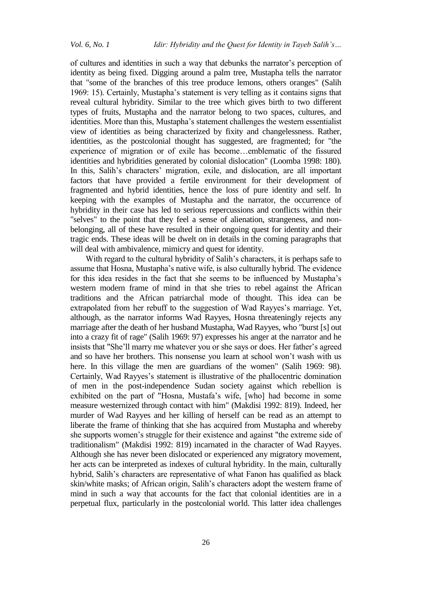of cultures and identities in such a way that debunks the narrator's perception of identity as being fixed. Digging around a palm tree, Mustapha tells the narrator that "some of the branches of this tree produce lemons, others oranges" (Salih 1969: 15). Certainly, Mustapha's statement is very telling as it contains signs that reveal cultural hybridity. Similar to the tree which gives birth to two different types of fruits, Mustapha and the narrator belong to two spaces, cultures, and identities. More than this, Mustapha's statement challenges the western essentialist view of identities as being characterized by fixity and changelessness. Rather, identities, as the postcolonial thought has suggested, are fragmented; for "the experience of migration or of exile has become…emblematic of the fissured identities and hybridities generated by colonial dislocation" (Loomba 1998: 180). In this, Salih's characters' migration, exile, and dislocation, are all important factors that have provided a fertile environment for their development of fragmented and hybrid identities, hence the loss of pure identity and self. In keeping with the examples of Mustapha and the narrator, the occurrence of hybridity in their case has led to serious repercussions and conflicts within their "selves" to the point that they feel a sense of alienation, strangeness, and nonbelonging, all of these have resulted in their ongoing quest for identity and their tragic ends. These ideas will be dwelt on in details in the coming paragraphs that will deal with ambivalence, mimicry and quest for identity.

With regard to the cultural hybridity of Salih's characters, it is perhaps safe to assume that Hosna, Mustapha's native wife, is also culturally hybrid. The evidence for this idea resides in the fact that she seems to be influenced by Mustapha's western modern frame of mind in that she tries to rebel against the African traditions and the African patriarchal mode of thought. This idea can be extrapolated from her rebuff to the suggestion of Wad Rayyes's marriage. Yet, although, as the narrator informs Wad Rayyes, Hosna threateningly rejects any marriage after the death of her husband Mustapha, Wad Rayyes, who "burst [s] out into a crazy fit of rage" (Salih 1969: 97) expresses his anger at the narrator and he insists that "She'll marry me whatever you or she says or does. Her father's agreed and so have her brothers. This nonsense you learn at school won't wash with us here. In this village the men are guardians of the women" (Salih 1969: 98). Certainly, Wad Rayyes's statement is illustrative of the phallocentric domination of men in the post-independence Sudan society against which rebellion is exhibited on the part of "Hosna, Mustafa's wife, [who] had become in some measure westernized through contact with him" (Makdisi 1992: 819). Indeed, her murder of Wad Rayyes and her killing of herself can be read as an attempt to liberate the frame of thinking that she has acquired from Mustapha and whereby she supports women's struggle for their existence and against "the extreme side of traditionalism" (Makdisi 1992: 819) incarnated in the character of Wad Rayyes. Although she has never been dislocated or experienced any migratory movement, her acts can be interpreted as indexes of cultural hybridity. In the main, culturally hybrid, Salih's characters are representative of what Fanon has qualified as black skin/white masks; of African origin, Salih's characters adopt the western frame of mind in such a way that accounts for the fact that colonial identities are in a perpetual flux, particularly in the postcolonial world. This latter idea challenges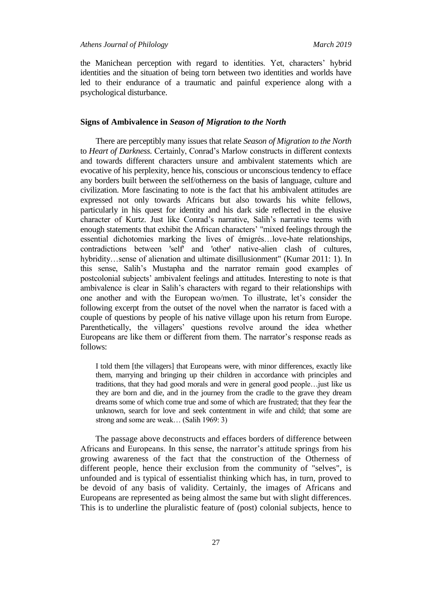the Manichean perception with regard to identities. Yet, characters' hybrid identities and the situation of being torn between two identities and worlds have led to their endurance of a traumatic and painful experience along with a psychological disturbance.

## **Signs of Ambivalence in** *Season of Migration to the North*

There are perceptibly many issues that relate *Season of Migration to the North*  to *Heart of Darkness.* Certainly, Conrad's Marlow constructs in different contexts and towards different characters unsure and ambivalent statements which are evocative of his perplexity, hence his, conscious or unconscious tendency to efface any borders built between the self/otherness on the basis of language, culture and civilization. More fascinating to note is the fact that his ambivalent attitudes are expressed not only towards Africans but also towards his white fellows, particularly in his quest for identity and his dark side reflected in the elusive character of Kurtz. Just like Conrad's narrative, Salih's narrative teems with enough statements that exhibit the African characters' "mixed feelings through the essential dichotomies marking the lives of émigrés…love-hate relationships, contradictions between 'self' and 'other' native-alien clash of cultures, hybridity…sense of alienation and ultimate disillusionment" (Kumar 2011: 1). In this sense, Salih's Mustapha and the narrator remain good examples of postcolonial subjects' ambivalent feelings and attitudes. Interesting to note is that ambivalence is clear in Salih's characters with regard to their relationships with one another and with the European wo/men. To illustrate, let's consider the following excerpt from the outset of the novel when the narrator is faced with a couple of questions by people of his native village upon his return from Europe. Parenthetically, the villagers' questions revolve around the idea whether Europeans are like them or different from them. The narrator's response reads as follows:

I told them [the villagers] that Europeans were, with minor differences, exactly like them, marrying and bringing up their children in accordance with principles and traditions, that they had good morals and were in general good people…just like us they are born and die, and in the journey from the cradle to the grave they dream dreams some of which come true and some of which are frustrated; that they fear the unknown, search for love and seek contentment in wife and child; that some are strong and some are weak… (Salih 1969: 3)

The passage above deconstructs and effaces borders of difference between Africans and Europeans. In this sense, the narrator's attitude springs from his growing awareness of the fact that the construction of the Otherness of different people, hence their exclusion from the community of "selves", is unfounded and is typical of essentialist thinking which has, in turn, proved to be devoid of any basis of validity. Certainly, the images of Africans and Europeans are represented as being almost the same but with slight differences. This is to underline the pluralistic feature of (post) colonial subjects, hence to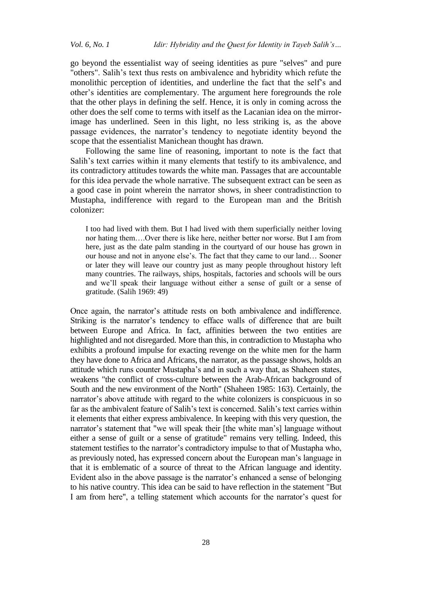go beyond the essentialist way of seeing identities as pure "selves" and pure "others". Salih's text thus rests on ambivalence and hybridity which refute the monolithic perception of identities, and underline the fact that the self's and other's identities are complementary. The argument here foregrounds the role that the other plays in defining the self. Hence, it is only in coming across the other does the self come to terms with itself as the Lacanian idea on the mirrorimage has underlined. Seen in this light, no less striking is, as the above passage evidences, the narrator's tendency to negotiate identity beyond the scope that the essentialist Manichean thought has drawn.

Following the same line of reasoning, important to note is the fact that Salih's text carries within it many elements that testify to its ambivalence, and its contradictory attitudes towards the white man. Passages that are accountable for this idea pervade the whole narrative. The subsequent extract can be seen as a good case in point wherein the narrator shows, in sheer contradistinction to Mustapha, indifference with regard to the European man and the British colonizer:

I too had lived with them. But I had lived with them superficially neither loving nor hating them….Over there is like here, neither better nor worse. But I am from here, just as the date palm standing in the courtyard of our house has grown in our house and not in anyone else's. The fact that they came to our land… Sooner or later they will leave our country just as many people throughout history left many countries. The railways, ships, hospitals, factories and schools will be ours and we'll speak their language without either a sense of guilt or a sense of gratitude. (Salih 1969: 49)

Once again, the narrator's attitude rests on both ambivalence and indifference. Striking is the narrator's tendency to efface walls of difference that are built between Europe and Africa. In fact, affinities between the two entities are highlighted and not disregarded. More than this, in contradiction to Mustapha who exhibits a profound impulse for exacting revenge on the white men for the harm they have done to Africa and Africans, the narrator, as the passage shows, holds an attitude which runs counter Mustapha's and in such a way that, as Shaheen states, weakens "the conflict of cross-culture between the Arab-African background of South and the new environment of the North" (Shaheen 1985: 163). Certainly, the narrator's above attitude with regard to the white colonizers is conspicuous in so far as the ambivalent feature of Salih's text is concerned. Salih's text carries within it elements that either express ambivalence. In keeping with this very question, the narrator's statement that "we will speak their [the white man's] language without either a sense of guilt or a sense of gratitude" remains very telling. Indeed, this statement testifies to the narrator's contradictory impulse to that of Mustapha who, as previously noted, has expressed concern about the European man's language in that it is emblematic of a source of threat to the African language and identity. Evident also in the above passage is the narrator's enhanced a sense of belonging to his native country. This idea can be said to have reflection in the statement "But I am from here", a telling statement which accounts for the narrator's quest for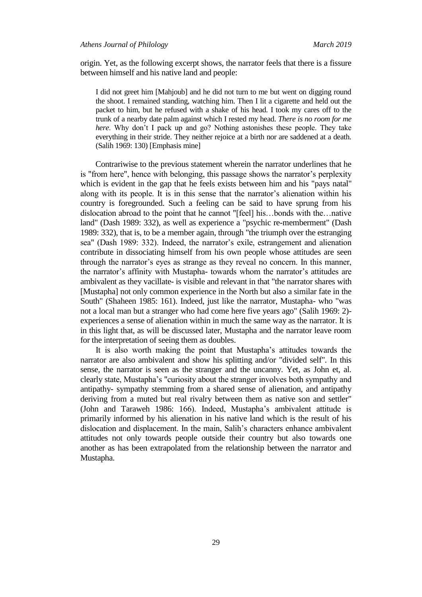origin. Yet, as the following excerpt shows, the narrator feels that there is a fissure between himself and his native land and people:

I did not greet him [Mahjoub] and he did not turn to me but went on digging round the shoot. I remained standing, watching him. Then I lit a cigarette and held out the packet to him, but he refused with a shake of his head. I took my cares off to the trunk of a nearby date palm against which I rested my head. *There is no room for me here*. Why don't I pack up and go? Nothing astonishes these people. They take everything in their stride. They neither rejoice at a birth nor are saddened at a death. (Salih 1969: 130) [Emphasis mine]

Contrariwise to the previous statement wherein the narrator underlines that he is "from here", hence with belonging, this passage shows the narrator's perplexity which is evident in the gap that he feels exists between him and his "pays natal" along with its people. It is in this sense that the narrator's alienation within his country is foregrounded. Such a feeling can be said to have sprung from his dislocation abroad to the point that he cannot "[feel] his…bonds with the…native land" (Dash 1989: 332), as well as experience a "psychic re-memberment" (Dash 1989: 332), that is, to be a member again, through "the triumph over the estranging sea" (Dash 1989: 332). Indeed, the narrator's exile, estrangement and alienation contribute in dissociating himself from his own people whose attitudes are seen through the narrator's eyes as strange as they reveal no concern. In this manner, the narrator's affinity with Mustapha- towards whom the narrator's attitudes are ambivalent as they vacillate- is visible and relevant in that "the narrator shares with [Mustapha] not only common experience in the North but also a similar fate in the South" (Shaheen 1985: 161). Indeed, just like the narrator, Mustapha- who "was not a local man but a stranger who had come here five years ago" (Salih 1969: 2) experiences a sense of alienation within in much the same way as the narrator. It is in this light that, as will be discussed later, Mustapha and the narrator leave room for the interpretation of seeing them as doubles.

It is also worth making the point that Mustapha's attitudes towards the narrator are also ambivalent and show his splitting and/or "divided self". In this sense, the narrator is seen as the stranger and the uncanny. Yet, as John et, al. clearly state, Mustapha's "curiosity about the stranger involves both sympathy and antipathy- sympathy stemming from a shared sense of alienation, and antipathy deriving from a muted but real rivalry between them as native son and settler" (John and Taraweh 1986: 166). Indeed, Mustapha's ambivalent attitude is primarily informed by his alienation in his native land which is the result of his dislocation and displacement. In the main, Salih's characters enhance ambivalent attitudes not only towards people outside their country but also towards one another as has been extrapolated from the relationship between the narrator and Mustapha.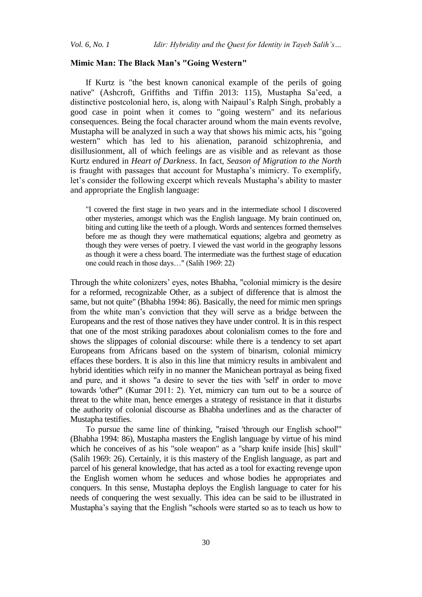#### **Mimic Man: The Black Man's "Going Western"**

If Kurtz is "the best known canonical example of the perils of going native" (Ashcroft, Griffiths and Tiffin 2013: 115), Mustapha Sa'eed, a distinctive postcolonial hero, is, along with Naipaul's Ralph Singh, probably a good case in point when it comes to "going western" and its nefarious consequences. Being the focal character around whom the main events revolve, Mustapha will be analyzed in such a way that shows his mimic acts, his "going western" which has led to his alienation, paranoid schizophrenia, and disillusionment, all of which feelings are as visible and as relevant as those Kurtz endured in *Heart of Darkness*. In fact, *Season of Migration to the North* is fraught with passages that account for Mustapha's mimicry. To exemplify, let's consider the following excerpt which reveals Mustapha's ability to master and appropriate the English language:

"I covered the first stage in two years and in the intermediate school I discovered other mysteries, amongst which was the English language. My brain continued on, biting and cutting like the teeth of a plough. Words and sentences formed themselves before me as though they were mathematical equations; algebra and geometry as though they were verses of poetry. I viewed the vast world in the geography lessons as though it were a chess board. The intermediate was the furthest stage of education one could reach in those days…" (Salih 1969: 22)

Through the white colonizers' eyes, notes Bhabha, "colonial mimicry is the desire for a reformed, recognizable Other, as a subject of difference that is almost the same, but not quite" (Bhabha 1994: 86). Basically, the need for mimic men springs from the white man's conviction that they will serve as a bridge between the Europeans and the rest of those natives they have under control. It is in this respect that one of the most striking paradoxes about colonialism comes to the fore and shows the slippages of colonial discourse: while there is a tendency to set apart Europeans from Africans based on the system of binarism, colonial mimicry effaces these borders. It is also in this line that mimicry results in ambivalent and hybrid identities which reify in no manner the Manichean portrayal as being fixed and pure, and it shows "a desire to sever the ties with 'self' in order to move towards 'other'" (Kumar 2011: 2). Yet, mimicry can turn out to be a source of threat to the white man, hence emerges a strategy of resistance in that it disturbs the authority of colonial discourse as Bhabha underlines and as the character of Mustapha testifies.

To pursue the same line of thinking, "raised 'through our English school" (Bhabha 1994: 86), Mustapha masters the English language by virtue of his mind which he conceives of as his "sole weapon" as a "sharp knife inside [his] skull" (Salih 1969: 26). Certainly, it is this mastery of the English language, as part and parcel of his general knowledge, that has acted as a tool for exacting revenge upon the English women whom he seduces and whose bodies he appropriates and conquers. In this sense, Mustapha deploys the English language to cater for his needs of conquering the west sexually. This idea can be said to be illustrated in Mustapha's saying that the English "schools were started so as to teach us how to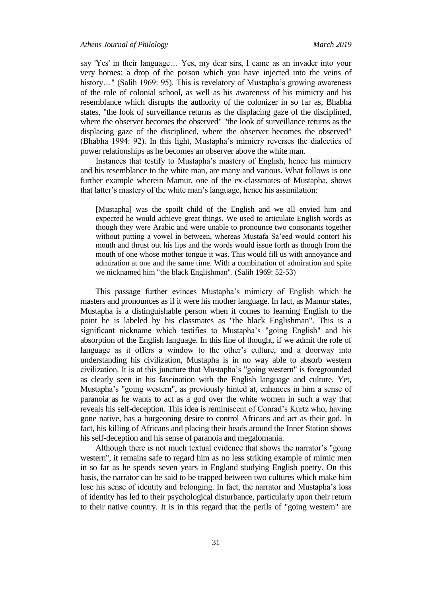say 'Yes' in their language... Yes, my dear sirs, I came as an invader into your very homes: a drop of the poison which you have injected into the veins of history..." (Salih 1969: 95). This is revelatory of Mustapha's growing awareness of the role of colonial school, as well as his awareness of his mimicry and his resemblance which disrupts the authority of the colonizer in so far as, Bhabha states, "the look of surveillance returns as the displacing gaze of the disciplined, where the observer becomes the observed" "the look of surveillance returns as the displacing gaze of the disciplined, where the observer becomes the observed" (Bhabha 1994: 92). In this light, Mustapha's mimicry reverses the dialectics of power relationships as he becomes an observer above the white man.

Instances that testify to Mustapha's mastery of English, hence his mimicry and his resemblance to the white man, are many and various. What follows is one further example wherein Mamur, one of the ex-classmates of Mustapha, shows that latter's mastery of the white man's language, hence his assimilation:

[Mustapha] was the spoilt child of the English and we all envied him and expected he would achieve great things. We used to articulate English words as though they were Arabic and were unable to pronounce two consonants together without putting a vowel in between, whereas Mustafa Sa'eed would contort his mouth and thrust out his lips and the words would issue forth as though from the mouth of one whose mother tongue it was. This would fill us with annoyance and admiration at one and the same time. With a combination of admiration and spite we nicknamed him "the black Englishman". (Salih 1969: 52-53)

This passage further evinces Mustapha's mimicry of English which he masters and pronounces as if it were his mother language. In fact, as Mamur states, Mustapha is a distinguishable person when it comes to learning English to the point he is labeled by his classmates as "the black Englishman". This is a significant nickname which testifies to Mustapha's "going English" and his absorption of the English language. In this line of thought, if we admit the role of language as it offers a window to the other's culture, and a doorway into understanding his civilization, Mustapha is in no way able to absorb western civilization. It is at this juncture that Mustapha's "going western" is foregrounded as clearly seen in his fascination with the English language and culture. Yet, Mustapha's "going western", as previously hinted at, enhances in him a sense of paranoia as he wants to act as a god over the white women in such a way that reveals his self-deception. This idea is reminiscent of Conrad's Kurtz who, having gone native, has a burgeoning desire to control Africans and act as their god. In fact, his killing of Africans and placing their heads around the Inner Station shows his self-deception and his sense of paranoia and megalomania.

Although there is not much textual evidence that shows the narrator's "going western", it remains safe to regard him as no less striking example of mimic men in so far as he spends seven years in England studying English poetry. On this basis, the narrator can be said to be trapped between two cultures which make him lose his sense of identity and belonging. In fact, the narrator and Mustapha's loss of identity has led to their psychological disturbance, particularly upon their return to their native country. It is in this regard that the perils of "going western" are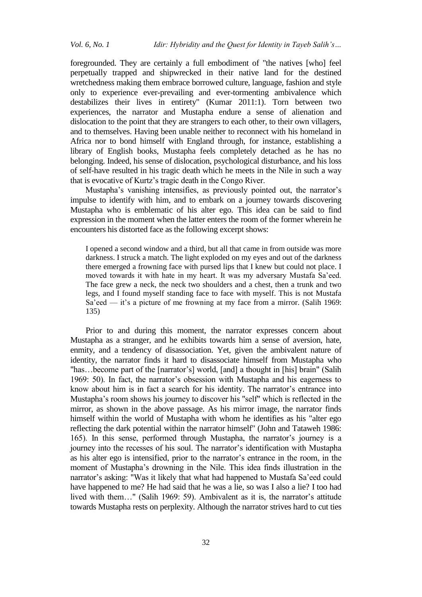foregrounded. They are certainly a full embodiment of "the natives [who] feel perpetually trapped and shipwrecked in their native land for the destined wretchedness making them embrace borrowed culture, language, fashion and style only to experience ever-prevailing and ever-tormenting ambivalence which destabilizes their lives in entirety" (Kumar 2011:1). Torn between two experiences, the narrator and Mustapha endure a sense of alienation and dislocation to the point that they are strangers to each other, to their own villagers, and to themselves. Having been unable neither to reconnect with his homeland in Africa nor to bond himself with England through, for instance, establishing a library of English books, Mustapha feels completely detached as he has no belonging. Indeed, his sense of dislocation, psychological disturbance, and his loss of self-have resulted in his tragic death which he meets in the Nile in such a way that is evocative of Kurtz's tragic death in the Congo River.

Mustapha's vanishing intensifies, as previously pointed out, the narrator's impulse to identify with him, and to embark on a journey towards discovering Mustapha who is emblematic of his alter ego. This idea can be said to find expression in the moment when the latter enters the room of the former wherein he encounters his distorted face as the following excerpt shows:

I opened a second window and a third, but all that came in from outside was more darkness. I struck a match. The light exploded on my eyes and out of the darkness there emerged a frowning face with pursed lips that I knew but could not place. I moved towards it with hate in my heart. It was my adversary Mustafa Sa'eed. The face grew a neck, the neck two shoulders and a chest, then a trunk and two legs, and I found myself standing face to face with myself. This is not Mustafa Sa'eed — it's a picture of me frowning at my face from a mirror. (Salih 1969: 135)

Prior to and during this moment, the narrator expresses concern about Mustapha as a stranger, and he exhibits towards him a sense of aversion, hate, enmity, and a tendency of disassociation. Yet, given the ambivalent nature of identity, the narrator finds it hard to disassociate himself from Mustapha who "has…become part of the [narrator's] world, [and] a thought in [his] brain" (Salih 1969: 50). In fact, the narrator's obsession with Mustapha and his eagerness to know about him is in fact a search for his identity. The narrator's entrance into Mustapha's room shows his journey to discover his "self" which is reflected in the mirror, as shown in the above passage. As his mirror image, the narrator finds himself within the world of Mustapha with whom he identifies as his "alter ego reflecting the dark potential within the narrator himself" (John and Tataweh 1986: 165). In this sense, performed through Mustapha, the narrator's journey is a journey into the recesses of his soul. The narrator's identification with Mustapha as his alter ego is intensified, prior to the narrator's entrance in the room, in the moment of Mustapha's drowning in the Nile. This idea finds illustration in the narrator's asking: "Was it likely that what had happened to Mustafa Sa'eed could have happened to me? He had said that he was a lie, so was I also a lie? I too had lived with them…" (Salih 1969: 59). Ambivalent as it is, the narrator's attitude towards Mustapha rests on perplexity. Although the narrator strives hard to cut ties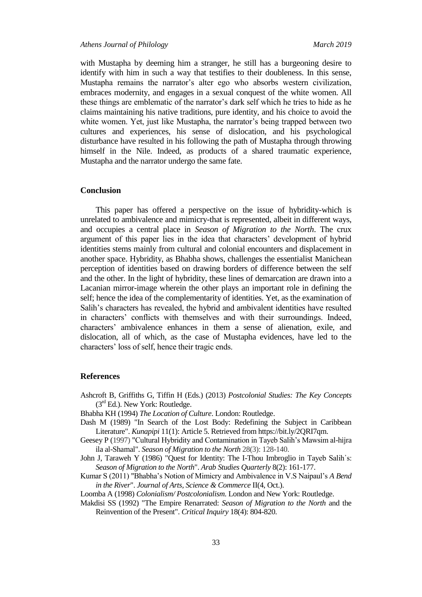with Mustapha by deeming him a stranger, he still has a burgeoning desire to identify with him in such a way that testifies to their doubleness. In this sense, Mustapha remains the narrator's alter ego who absorbs western civilization, embraces modernity, and engages in a sexual conquest of the white women. All these things are emblematic of the narrator's dark self which he tries to hide as he claims maintaining his native traditions, pure identity, and his choice to avoid the white women. Yet, just like Mustapha, the narrator's being trapped between two cultures and experiences, his sense of dislocation, and his psychological disturbance have resulted in his following the path of Mustapha through throwing himself in the Nile. Indeed, as products of a shared traumatic experience, Mustapha and the narrator undergo the same fate.

#### **Conclusion**

This paper has offered a perspective on the issue of hybridity-which is unrelated to ambivalence and mimicry-that is represented, albeit in different ways, and occupies a central place in *Season of Migration to the North*. The crux argument of this paper lies in the idea that characters' development of hybrid identities stems mainly from cultural and colonial encounters and displacement in another space. Hybridity, as Bhabha shows, challenges the essentialist Manichean perception of identities based on drawing borders of difference between the self and the other. In the light of hybridity, these lines of demarcation are drawn into a Lacanian mirror-image wherein the other plays an important role in defining the self; hence the idea of the complementarity of identities. Yet, as the examination of Salih's characters has revealed, the hybrid and ambivalent identities have resulted in characters' conflicts with themselves and with their surroundings. Indeed, characters' ambivalence enhances in them a sense of alienation, exile, and dislocation, all of which, as the case of Mustapha evidences, have led to the characters' loss of self, hence their tragic ends.

## **References**

- Ashcroft B, Griffiths G, Tiffin H (Eds.) (2013) *Postcolonial Studies: The Key Concepts*  $(3<sup>rd</sup> Ed.)$ . New York: Routledge.
- Bhabha KH (1994) *The Location of Culture*. London: Routledge.
- Dash M (1989) "In Search of the Lost Body: Redefining the Subject in Caribbean Literature". *Kunapipi* 11(1): Article 5. Retrieved from https://bit.ly/2QRI7qm.
- Geesey P (1997) "Cultural Hybridity and Contamination in Tayeb Salih's Mawsim al-hijra ila al-Shamal". *Season of Migration to the North* 28(3): 128-140.
- John J, Taraweh Y (1986) "Quest for Identity: The I-Thou Imbroglio in Tayeb Salih᾽s: *Season of Migration to the North*". *Arab Studies Quarterly* 8(2): 161-177.
- Kumar S (2011) "Bhabha's Notion of Mimicry and Ambivalence in V.S Naipaul's *A Bend in the River*". *Journal of Arts, Science & Commerce* II(4, Oct.).

Loomba A (1998) *Colonialism/ Postcolonialism.* London and New York: Routledge.

Makdisi SS (1992) "The Empire Renarrated: *Season of Migration to the North* and the Reinvention of the Present". *Critical Inquiry* 18(4): 804-820.